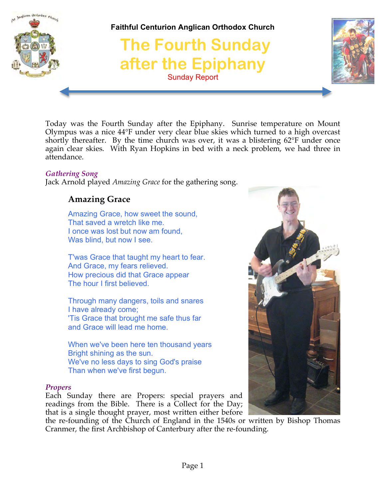

Today was the Fourth Sunday after the Epiphany. Sunrise temperature on Mount Olympus was a nice 44°F under very clear blue skies which turned to a high overcast shortly thereafter. By the time church was over, it was a blistering 62°F under once again clear skies. With Ryan Hopkins in bed with a neck problem, we had three in attendance.

#### *Gathering Song*

Jack Arnold played *Amazing Grace* for the gathering song.

# **Amazing Grace**

Amazing Grace, how sweet the sound, That saved a wretch like me. I once was lost but now am found, Was blind, but now I see.

T'was Grace that taught my heart to fear. And Grace, my fears relieved. How precious did that Grace appear The hour I first believed.

Through many dangers, toils and snares I have already come; 'Tis Grace that brought me safe thus far and Grace will lead me home.

When we've been here ten thousand years Bright shining as the sun. We've no less days to sing God's praise Than when we've first begun.

#### *Propers*

Each Sunday there are Propers: special prayers and readings from the Bible. There is a Collect for the Day; that is a single thought prayer, most written either before



the re-founding of the Church of England in the 1540s or written by Bishop Thomas Cranmer, the first Archbishop of Canterbury after the re-founding.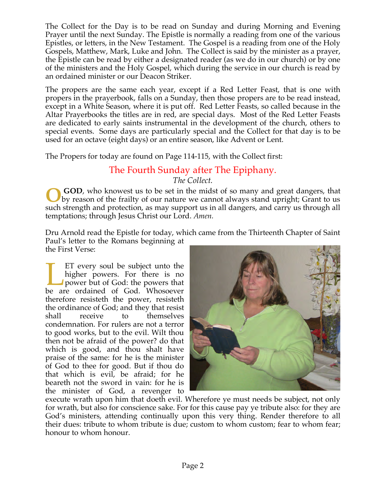The Collect for the Day is to be read on Sunday and during Morning and Evening Prayer until the next Sunday. The Epistle is normally a reading from one of the various Epistles, or letters, in the New Testament. The Gospel is a reading from one of the Holy Gospels, Matthew, Mark, Luke and John. The Collect is said by the minister as a prayer, the Epistle can be read by either a designated reader (as we do in our church) or by one of the ministers and the Holy Gospel, which during the service in our church is read by an ordained minister or our Deacon Striker.

The propers are the same each year, except if a Red Letter Feast, that is one with propers in the prayerbook, falls on a Sunday, then those propers are to be read instead, except in a White Season, where it is put off. Red Letter Feasts, so called because in the Altar Prayerbooks the titles are in red, are special days. Most of the Red Letter Feasts are dedicated to early saints instrumental in the development of the church, others to special events. Some days are particularly special and the Collect for that day is to be used for an octave (eight days) or an entire season, like Advent or Lent.

The Propers for today are found on Page 114-115, with the Collect first:

# The Fourth Sunday after The Epiphany. *The Collect.*

**GOD**, who knowest us to be set in the midst of so many and great dangers, that by reason of the frailty of our nature we cannot always stand upright; Grant to us such strength and protection, as may support us in all dangers, and carry us through all temptations; through Jesus Christ our Lord. *Amen.* **O**

Dru Arnold read the Epistle for today, which came from the Thirteenth Chapter of Saint Paul's letter to the Romans beginning at the First Verse:

ET every soul be subject unto the higher powers. For there is no power but of God: the powers that ET every soul be subject unto the higher powers. For there is no power but of God: the powers that be are ordained of God. Whosoever therefore resisteth the power, resisteth the ordinance of God; and they that resist shall receive to themselves condemnation. For rulers are not a terror to good works, but to the evil. Wilt thou then not be afraid of the power? do that which is good, and thou shalt have praise of the same: for he is the minister of God to thee for good. But if thou do that which is evil, be afraid; for he beareth not the sword in vain: for he is the minister of God, a revenger to



execute wrath upon him that doeth evil. Wherefore ye must needs be subject, not only for wrath, but also for conscience sake. For for this cause pay ye tribute also: for they are God's ministers, attending continually upon this very thing. Render therefore to all their dues: tribute to whom tribute is due; custom to whom custom; fear to whom fear; honour to whom honour.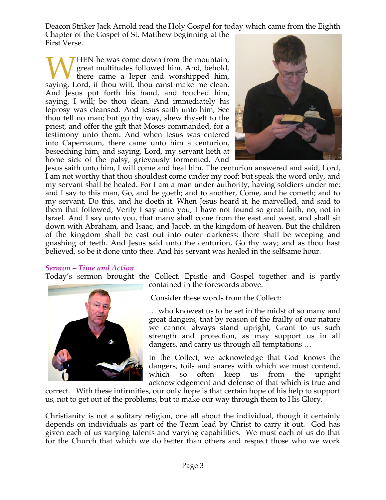Deacon Striker Jack Arnold read the Holy Gospel for today which came from the Eighth

Chapter of the Gospel of St. Matthew beginning at the First Verse.

HEN he was come down from the mountain, great multitudes followed him. And, behold, there came a leper and worshipped him, WHEN he was come down from the mountain, great multitudes followed him. And, behold, there came a leper and worshipped him, saying, Lord, if thou wilt, thou canst make me clean. And Jesus put forth his hand, and touched him, saying, I will; be thou clean. And immediately his leprosy was cleansed. And Jesus saith unto him, See thou tell no man; but go thy way, shew thyself to the priest, and offer the gift that Moses commanded, for a testimony unto them. And when Jesus was entered into Capernaum, there came unto him a centurion, beseeching him, and saying, Lord, my servant lieth at home sick of the palsy, grievously tormented. And



Jesus saith unto him, I will come and heal him. The centurion answered and said, Lord, I am not worthy that thou shouldest come under my roof: but speak the word only, and my servant shall be healed. For I am a man under authority, having soldiers under me: and I say to this man, Go, and he goeth; and to another, Come, and he cometh; and to my servant, Do this, and he doeth it. When Jesus heard it, he marvelled, and said to them that followed, Verily I say unto you, I have not found so great faith, no, not in Israel. And I say unto you, that many shall come from the east and west, and shall sit down with Abraham, and Isaac, and Jacob, in the kingdom of heaven. But the children of the kingdom shall be cast out into outer darkness: there shall be weeping and gnashing of teeth. And Jesus said unto the centurion, Go thy way; and as thou hast believed, so be it done unto thee. And his servant was healed in the selfsame hour.

#### *Sermon – Time and Action*

Today's sermon brought the Collect, Epistle and Gospel together and is partly



contained in the forewords above.

Consider these words from the Collect:

… who knowest us to be set in the midst of so many and great dangers, that by reason of the frailty of our nature we cannot always stand upright; Grant to us such strength and protection, as may support us in all dangers, and carry us through all temptations …

In the Collect, we acknowledge that God knows the dangers, toils and snares with which we must contend, which so often keep us from the upright acknowledgement and defense of that which is true and

correct. With these infirmities, our only hope is that certain hope of his help to support us, not to get out of the problems, but to make our way through them to His Glory.

Christianity is not a solitary religion, one all about the individual, though it certainly depends on individuals as part of the Team lead by Christ to carry it out. God has given each of us varying talents and varying capabilities. We must each of us do that for the Church that which we do better than others and respect those who we work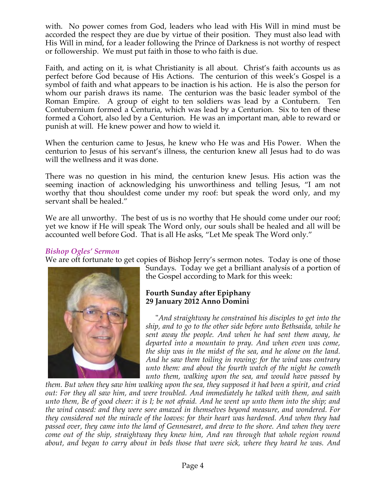with. No power comes from God, leaders who lead with His Will in mind must be accorded the respect they are due by virtue of their position. They must also lead with His Will in mind, for a leader following the Prince of Darkness is not worthy of respect or followership. We must put faith in those to who faith is due.

Faith, and acting on it, is what Christianity is all about. Christ's faith accounts us as perfect before God because of His Actions. The centurion of this week's Gospel is a symbol of faith and what appears to be inaction is his action. He is also the person for whom our parish draws its name. The centurion was the basic leader symbol of the Roman Empire. A group of eight to ten soldiers was lead by a Contubern. Ten Contubernium formed a Centuria, which was lead by a Centurion. Six to ten of these formed a Cohort, also led by a Centurion. He was an important man, able to reward or punish at will. He knew power and how to wield it.

When the centurion came to Jesus, he knew who He was and His Power. When the centurion to Jesus of his servant's illness, the centurion knew all Jesus had to do was will the wellness and it was done.

There was no question in his mind, the centurion knew Jesus. His action was the seeming inaction of acknowledging his unworthiness and telling Jesus, "I am not worthy that thou shouldest come under my roof: but speak the word only, and my servant shall be healed."

We are all unworthy. The best of us is no worthy that He should come under our roof; yet we know if He will speak The Word only, our souls shall be healed and all will be accounted well before God. That is all He asks, "Let Me speak The Word only."

#### *Bishop Ogles' Sermon*

We are oft fortunate to get copies of Bishop Jerry's sermon notes. Today is one of those



Sundays. Today we get a brilliant analysis of a portion of the Gospel according to Mark for this week:

# **Fourth Sunday after Epiphany 29 January 2012 Anno Domini**

 "*And straightway he constrained his disciples to get into the ship, and to go to the other side before unto Bethsaida, while he sent away the people. And when he had sent them away, he departed into a mountain to pray. And when even was come, the ship was in the midst of the sea, and he alone on the land. And he saw them toiling in rowing; for the wind was contrary unto them: and about the fourth watch of the night he cometh unto them, walking upon the sea, and would have passed by* 

*them. But when they saw him walking upon the sea, they supposed it had been a spirit, and cried out: For they all saw him, and were troubled. And immediately he talked with them, and saith unto them, Be of good cheer: it is I; be not afraid. And he went up unto them into the ship; and the wind ceased: and they were sore amazed in themselves beyond measure, and wondered. For they considered not the miracle of the loaves: for their heart was hardened. And when they had passed over, they came into the land of Gennesaret, and drew to the shore. And when they were come out of the ship, straightway they knew him, And ran through that whole region round about, and began to carry about in beds those that were sick, where they heard he was. And*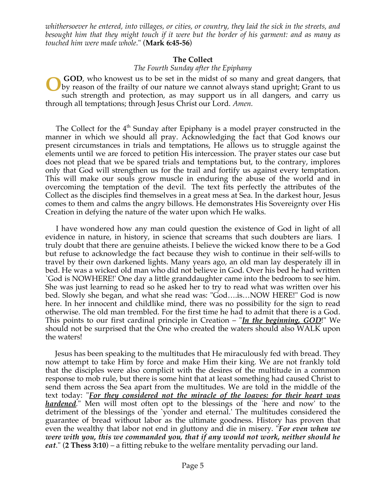*whithersoever he entered, into villages, or cities, or country, they laid the sick in the streets, and besought him that they might touch if it were but the border of his garment: and as many as touched him were made whole*." (**Mark 6:45-56**)

#### **The Collect**

#### *The Fourth Sunday after the Epiphany*

**GOD**, who knowest us to be set in the midst of so many and great dangers, that by reason of the frailty of our nature we cannot always stand upright; Grant to us such strength and protection, as may support us in all dangers, and carry us through all temptations; through Jesus Christ our Lord. *Amen.* **O**

The Collect for the  $4<sup>th</sup>$  Sunday after Epiphany is a model prayer constructed in the manner in which we should all pray. Acknowledging the fact that God knows our present circumstances in trials and temptations, He allows us to struggle against the elements until we are forced to petition His intercession. The prayer states our case but does not plead that we be spared trials and temptations but, to the contrary, implores only that God will strengthen us for the trail and fortify us against every temptation. This will make our souls grow muscle in enduring the abuse of the world and in overcoming the temptation of the devil. The text fits perfectly the attributes of the Collect as the disciples find themselves in a great mess at Sea. In the darkest hour, Jesus comes to them and calms the angry billows. He demonstrates His Sovereignty over His Creation in defying the nature of the water upon which He walks.

 I have wondered how any man could question the existence of God in light of all evidence in nature, in history, in science that screams that such doubters are liars. I truly doubt that there are genuine atheists. I believe the wicked know there to be a God but refuse to acknowledge the fact because they wish to continue in their self-wills to travel by their own darkened lights. Many years ago, an old man lay desperately ill in bed. He was a wicked old man who did not believe in God. Over his bed he had written `God is NOWHERE!' One day a little granddaughter came into the bedroom to see him. She was just learning to read so he asked her to try to read what was written over his bed. Slowly she began, and what she read was: "God….is…NOW HERE!" God is now here. In her innocent and childlike mind, there was no possibility for the sign to read otherwise. The old man trembled. For the first time he had to admit that there is a God. This points to our first cardinal principle in Creation – "*In the beginning, GOD*!" We should not be surprised that the One who created the waters should also WALK upon the waters!

 Jesus has been speaking to the multitudes that He miraculously fed with bread. They now attempt to take Him by force and make Him their king. We are not frankly told that the disciples were also complicit with the desires of the multitude in a common response to mob rule, but there is some hint that at least something had caused Christ to send them across the Sea apart from the multitudes. We are told in the middle of the text today: "*For they considered not the miracle of the loaves: for their heart was hardened.*" Men will most often opt to the blessings of the `here and now' to the detriment of the blessings of the `yonder and eternal.' The multitudes considered the guarantee of bread without labor as the ultimate goodness. History has proven that even the wealthy that labor not end in gluttony and die in misery. "*For even when we were with you, this we commanded you, that if any would not work, neither should he eat*." (**2 Thess 3:10**) – a fitting rebuke to the welfare mentality pervading our land.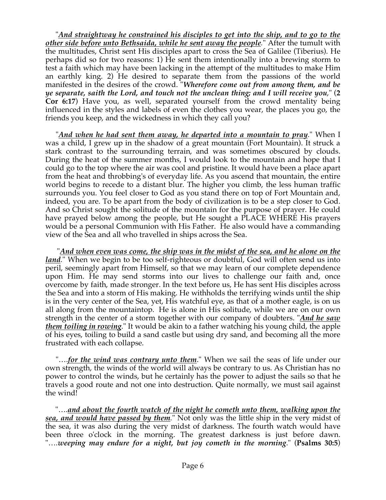"*And straightway he constrained his disciples to get into the ship, and to go to the other side before unto Bethsaida, while he sent away the people.*" After the tumult with the multitudes, Christ sent His disciples apart to cross the Sea of Galilee (Tiberius). He perhaps did so for two reasons: 1) He sent them intentionally into a brewing storm to test a faith which may have been lacking in the attempt of the multitudes to make Him an earthly king. 2) He desired to separate them from the passions of the world manifested in the desires of the crowd. "*Wherefore come out from among them, and be ye separate, saith the Lord, and touch not the unclean thing; and I will receive you*," (**2 Cor 6:17**) Have you, as well, separated yourself from the crowd mentality being influenced in the styles and labels of even the clothes you wear, the places you go, the friends you keep, and the wickedness in which they call you?

 "*And when he had sent them away, he departed into a mountain to pray.*" When I was a child, I grew up in the shadow of a great mountain (Fort Mountain). It struck a stark contrast to the surrounding terrain, and was sometimes obscured by clouds. During the heat of the summer months, I would look to the mountain and hope that I could go to the top where the air was cool and pristine. It would have been a place apart from the heat and throbbing's of everyday life. As you ascend that mountain, the entire world begins to recede to a distant blur. The higher you climb, the less human traffic surrounds you. You feel closer to God as you stand there on top of Fort Mountain and, indeed, you are. To be apart from the body of civilization is to be a step closer to God. And so Christ sought the solitude of the mountain for the purpose of prayer. He could have prayed below among the people, but He sought a PLACE WHERE His prayers would be a personal Communion with His Father. He also would have a commanding view of the Sea and all who travelled in ships across the Sea.

 "*And when even was come, the ship was in the midst of the sea, and he alone on the land.*" When we begin to be too self-righteous or doubtful, God will often send us into peril, seemingly apart from Himself, so that we may learn of our complete dependence upon Him. He may send storms into our lives to challenge our faith and, once overcome by faith, made stronger. In the text before us, He has sent His disciples across the Sea and into a storm of His making. He withholds the terrifying winds until the ship is in the very center of the Sea, yet, His watchful eye, as that of a mother eagle, is on us all along from the mountaintop. He is alone in His solitude, while we are on our own strength in the center of a storm together with our company of doubters. "*And he saw them toiling in rowing*." It would be akin to a father watching his young child, the apple of his eyes, toiling to build a sand castle but using dry sand, and becoming all the more frustrated with each collapse.

 "….*for the wind was contrary unto them*." When we sail the seas of life under our own strength, the winds of the world will always be contrary to us. As Christian has no power to control the winds, but he certainly has the power to adjust the sails so that he travels a good route and not one into destruction. Quite normally, we must sail against the wind!

 "….*and about the fourth watch of the night he cometh unto them, walking upon the sea, and would have passed by them.*" Not only was the little ship in the very midst of the sea, it was also during the very midst of darkness. The fourth watch would have been three o'clock in the morning. The greatest darkness is just before dawn. "….*weeping may endure for a night, but joy cometh in the morning*." (**Psalms 30:5**)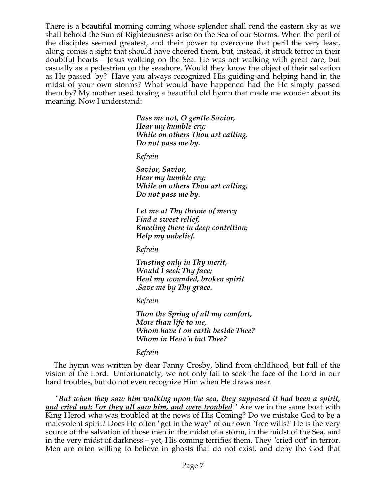There is a beautiful morning coming whose splendor shall rend the eastern sky as we shall behold the Sun of Righteousness arise on the Sea of our Storms. When the peril of the disciples seemed greatest, and their power to overcome that peril the very least, along comes a sight that should have cheered them, but, instead, it struck terror in their doubtful hearts – Jesus walking on the Sea. He was not walking with great care, but casually as a pedestrian on the seashore. Would they know the object of their salvation as He passed by? Have you always recognized His guiding and helping hand in the midst of your own storms? What would have happened had the He simply passed them by? My mother used to sing a beautiful old hymn that made me wonder about its meaning. Now I understand:

> *Pass me not, O gentle Savior, Hear my humble cry; While on others Thou art calling, Do not pass me by.*

*Refrain*

*Savior, Savior, Hear my humble cry; While on others Thou art calling, Do not pass me by.*

*Let me at Thy throne of mercy Find a sweet relief, Kneeling there in deep contrition; Help my unbelief.*

*Refrain*

*Trusting only in Thy merit, Would I seek Thy face; Heal my wounded, broken spirit ,Save me by Thy grace.*

*Refrain*

*Thou the Spring of all my comfort, More than life to me, Whom have I on earth beside Thee? Whom in Heav'n but Thee?*

*Refrain*

 The hymn was written by dear Fanny Crosby, blind from childhood, but full of the vision of the Lord. Unfortunately, we not only fail to seek the face of the Lord in our hard troubles, but do not even recognize Him when He draws near.

 "*But when they saw him walking upon the sea, they supposed it had been a spirit, and cried out: For they all saw him, and were troubled.*" Are we in the same boat with King Herod who was troubled at the news of His Coming? Do we mistake God to be a malevolent spirit? Does He often "get in the way" of our own `free wills?' He is the very source of the salvation of those men in the midst of a storm, in the midst of the Sea, and in the very midst of darkness – yet, His coming terrifies them. They "cried out" in terror. Men are often willing to believe in ghosts that do not exist, and deny the God that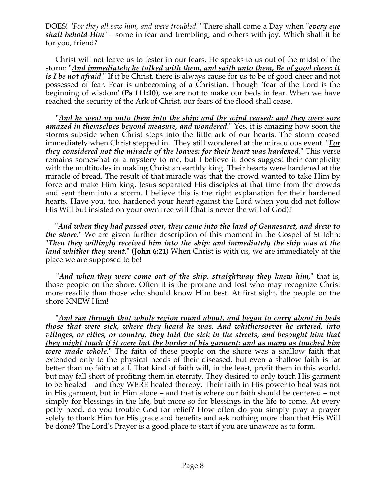DOES! "*For they all saw him, and were troubled.*" There shall come a Day when "*every eye shall behold Him*" – some in fear and trembling, and others with joy. Which shall it be for you, friend?

 Christ will not leave us to fester in our fears. He speaks to us out of the midst of the storm: "*And immediately he talked with them, and saith unto them, Be of good cheer: it is I be not afraid* " If it be Christ, there is always cause for us to be of good cheer and not possessed of fear. Fear is unbecoming of a Christian. Though `fear of the Lord is the beginning of wisdom' (**Ps 111:10**), we are not to make our beds in fear. When we have reached the security of the Ark of Christ, our fears of the flood shall cease.

 "*And he went up unto them into the ship; and the wind ceased: and they were sore amazed in themselves beyond measure, and wondered.*" Yes, it is amazing how soon the storms subside when Christ steps into the little ark of our hearts. The storm ceased immediately when Christ stepped in. They still wondered at the miraculous event. "*For they considered not the miracle of the loaves: for their heart was hardened.*" This verse remains somewhat of a mystery to me, but I believe it does suggest their complicity with the multitudes in making Christ an earthly king. Their hearts were hardened at the miracle of bread. The result of that miracle was that the crowd wanted to take Him by force and make Him king. Jesus separated His disciples at that time from the crowds and sent them into a storm. I believe this is the right explanation for their hardened hearts. Have you, too, hardened your heart against the Lord when you did not follow His Will but insisted on your own free will (that is never the will of God)?

 "*And when they had passed over, they came into the land of Gennesaret, and drew to the shore*." We are given further description of this moment in the Gospel of St John: "*Then they willingly received him into the ship: and immediately the ship was at the land whither they went*." (**John 6:21**) When Christ is with us, we are immediately at the place we are supposed to be!

 "*And when they were come out of the ship, straightway they knew him,*" that is, those people on the shore. Often it is the profane and lost who may recognize Christ more readily than those who should know Him best. At first sight, the people on the shore KNEW Him!

 "*And ran through that whole region round about, and began to carry about in beds those that were sick, where they heard he was. And whithersoever he entered, into villages, or cities, or country, they laid the sick in the streets, and besought him that they might touch if it were but the border of his garment: and as many as touched him were made whole*." The faith of these people on the shore was a shallow faith that extended only to the physical needs of their diseased, but even a shallow faith is far better than no faith at all. That kind of faith will, in the least, profit them in this world, but may fall short of profiting them in eternity. They desired to only touch His garment to be healed – and they WERE healed thereby. Their faith in His power to heal was not in His garment, but in Him alone – and that is where our faith should be centered – not simply for blessings in the life, but more so for blessings in the life to come. At every petty need, do you trouble God for relief? How often do you simply pray a prayer solely to thank Him for His grace and benefits and ask nothing more than that His Will be done? The Lord's Prayer is a good place to start if you are unaware as to form.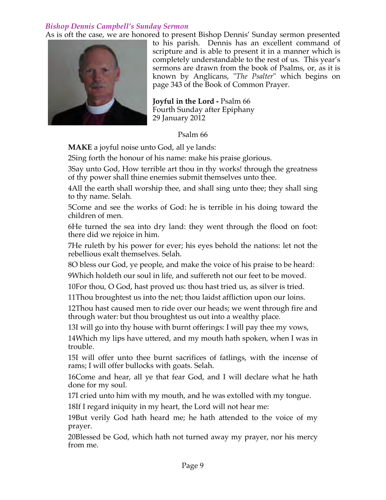# *Bishop Dennis Campbell's Sunday Sermon*

As is oft the case, we are honored to present Bishop Dennis' Sunday sermon presented



to his parish. Dennis has an excellent command of scripture and is able to present it in a manner which is completely understandable to the rest of us. This year's sermons are drawn from the book of Psalms, or, as it is known by Anglicans, "*The Psalter*" which begins on page 343 of the Book of Common Prayer.

**Joyful in the Lord -** Psalm 66 Fourth Sunday after Epiphany 29 January 2012

Psalm 66

**MAKE** a joyful noise unto God, all ye lands:

2Sing forth the honour of his name: make his praise glorious.

3Say unto God, How terrible art thou in thy works! through the greatness of thy power shall thine enemies submit themselves unto thee.

4All the earth shall worship thee, and shall sing unto thee; they shall sing to thy name. Selah.

5Come and see the works of God: he is terrible in his doing toward the children of men.

6He turned the sea into dry land: they went through the flood on foot: there did we rejoice in him.

7He ruleth by his power for ever; his eyes behold the nations: let not the rebellious exalt themselves. Selah.

8O bless our God, ye people, and make the voice of his praise to be heard:

9Which holdeth our soul in life, and suffereth not our feet to be moved.

10For thou, O God, hast proved us: thou hast tried us, as silver is tried.

11Thou broughtest us into the net; thou laidst affliction upon our loins.

12Thou hast caused men to ride over our heads; we went through fire and through water: but thou broughtest us out into a wealthy place.

13I will go into thy house with burnt offerings: I will pay thee my vows,

14Which my lips have uttered, and my mouth hath spoken, when I was in trouble.

15I will offer unto thee burnt sacrifices of fatlings, with the incense of rams; I will offer bullocks with goats. Selah.

16Come and hear, all ye that fear God, and I will declare what he hath done for my soul.

17I cried unto him with my mouth, and he was extolled with my tongue.

18If I regard iniquity in my heart, the Lord will not hear me:

19But verily God hath heard me; he hath attended to the voice of my prayer.

20Blessed be God, which hath not turned away my prayer, nor his mercy from me.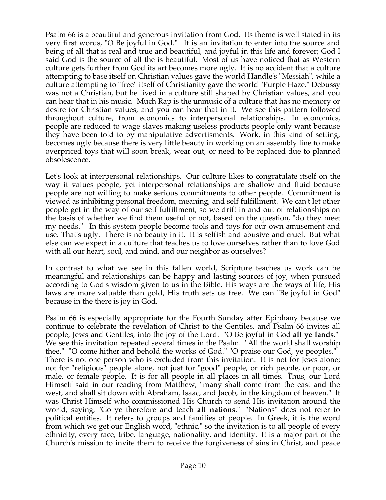Psalm 66 is a beautiful and generous invitation from God. Its theme is well stated in its very first words, "O Be joyful in God." It is an invitation to enter into the source and being of all that is real and true and beautiful, and joyful in this life and forever; God I said God is the source of all the is beautiful. Most of us have noticed that as Western culture gets further from God its art becomes more ugly. It is no accident that a culture attempting to base itself on Christian values gave the world Handle's "Messiah", while a culture attempting to "free" itself of Christianity gave the world "Purple Haze." Debussy was not a Christian, but he lived in a culture still shaped by Christian values, and you can hear that in his music. Much Rap is the unmusic of a culture that has no memory or desire for Christian values, and you can hear that in it. We see this pattern followed throughout culture, from economics to interpersonal relationships. In economics, people are reduced to wage slaves making useless products people only want because they have been told to by manipulative advertisments. Work, in this kind of setting, becomes ugly because there is very little beauty in working on an assembly line to make overpriced toys that will soon break, wear out, or need to be replaced due to planned obsolescence.

Let's look at interpersonal relationships. Our culture likes to congratulate itself on the way it values people, yet interpersonal relationships are shallow and fluid because people are not willing to make serious commitments to other people. Commitment is viewed as inhibiting personal freedom, meaning, and self fulfillment. We can't let other people get in the way of our self fulfillment, so we drift in and out of relationships on the basis of whether we find them useful or not, based on the question, "do they meet my needs." In this system people become tools and toys for our own amusement and use. That's ugly. There is no beauty in it. It is selfish and abusive and cruel. But what else can we expect in a culture that teaches us to love ourselves rather than to love God with all our heart, soul, and mind, and our neighbor as ourselves?

In contrast to what we see in this fallen world, Scripture teaches us work can be meaningful and relationships can be happy and lasting sources of joy, when pursued according to God's wisdom given to us in the Bible. His ways are the ways of life, His laws are more valuable than gold, His truth sets us free. We can "Be joyful in God" because in the there is joy in God.

Psalm 66 is especially appropriate for the Fourth Sunday after Epiphany because we continue to celebrate the revelation of Christ to the Gentiles, and Psalm 66 invites all people, Jews and Gentiles, into the joy of the Lord. "O Be joyful in God **all ye lands**." We see this invitation repeated several times in the Psalm. "All the world shall worship thee." "O come hither and behold the works of God." "O praise our God, ye peoples." There is not one person who is excluded from this invitation. It is not for Jews alone; not for "religious" people alone, not just for "good" people, or rich people, or poor, or male, or female people. It is for all people in all places in all times. Thus, our Lord Himself said in our reading from Matthew, "many shall come from the east and the west, and shall sit down with Abraham, Isaac, and Jacob, in the kingdom of heaven." It was Christ Himself who commissioned His Church to send His invitation around the world, saying, "Go ye therefore and teach **all nations**." "Nations" does not refer to political entities. It refers to groups and families of people. In Greek, it is the word from which we get our English word, "ethnic," so the invitation is to all people of every ethnicity, every race, tribe, language, nationality, and identity. It is a major part of the Church's mission to invite them to receive the forgiveness of sins in Christ, and peace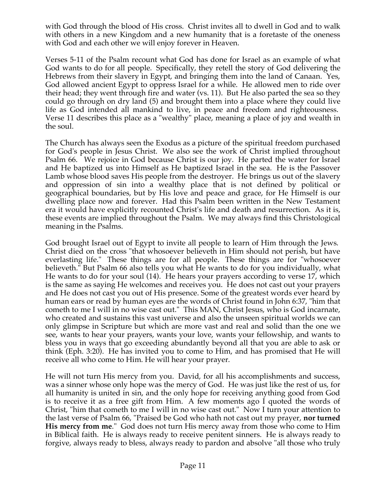with God through the blood of His cross. Christ invites all to dwell in God and to walk with others in a new Kingdom and a new humanity that is a foretaste of the oneness with God and each other we will enjoy forever in Heaven.

Verses 5-11 of the Psalm recount what God has done for Israel as an example of what God wants to do for all people. Specifically, they retell the story of God delivering the Hebrews from their slavery in Egypt, and bringing them into the land of Canaan. Yes, God allowed ancient Egypt to oppress Israel for a while. He allowed men to ride over their head; they went through fire and water (vs. 11). But He also parted the sea so they could go through on dry land (5) and brought them into a place where they could live life as God intended all mankind to live, in peace and freedom and righteousness. Verse 11 describes this place as a "wealthy" place, meaning a place of joy and wealth in the soul.

The Church has always seen the Exodus as a picture of the spiritual freedom purchased for God's people in Jesus Christ. We also see the work of Christ implied throughout Psalm 66. We rejoice in God because Christ is our joy. He parted the water for Israel and He baptized us into Himself as He baptized Israel in the sea. He is the Passover Lamb whose blood saves His people from the destroyer. He brings us out of the slavery and oppression of sin into a wealthy place that is not defined by political or geographical boundaries, but by His love and peace and grace, for He Himself is our dwelling place now and forever. Had this Psalm been written in the New Testament era it would have explicitly recounted Christ's life and death and resurrection. As it is, these events are implied throughout the Psalm. We may always find this Christological meaning in the Psalms.

God brought Israel out of Egypt to invite all people to learn of Him through the Jews. Christ died on the cross "that whosoever believeth in Him should not perish, but have everlasting life." These things are for all people. These things are for "whosoever believeth." But Psalm 66 also tells you what He wants to do for you individually, what He wants to do for your soul (14). He hears your prayers according to verse 17, which is the same as saying He welcomes and receives you. He does not cast out your prayers and He does not cast you out of His presence. Some of the greatest words ever heard by human ears or read by human eyes are the words of Christ found in John 6:37, "him that cometh to me I will in no wise cast out." This MAN, Christ Jesus, who is God incarnate, who created and sustains this vast universe and also the unseen spiritual worlds we can only glimpse in Scripture but which are more vast and real and solid than the one we see, wants to hear your prayers, wants your love, wants your fellowship, and wants to bless you in ways that go exceeding abundantly beyond all that you are able to ask or think (Eph. 3:20). He has invited you to come to Him, and has promised that He will receive all who come to Him. He will hear your prayer.

He will not turn His mercy from you. David, for all his accomplishments and success, was a sinner whose only hope was the mercy of God. He was just like the rest of us, for all humanity is united in sin, and the only hope for receiving anything good from God is to receive it as a free gift from Him. A few moments ago I quoted the words of Christ, "him that cometh to me I will in no wise cast out." Now I turn your attention to the last verse of Psalm 66, "Praised be God who hath not cast out my prayer, **nor turned His mercy from me**." God does not turn His mercy away from those who come to Him in Biblical faith. He is always ready to receive penitent sinners. He is always ready to forgive, always ready to bless, always ready to pardon and absolve "all those who truly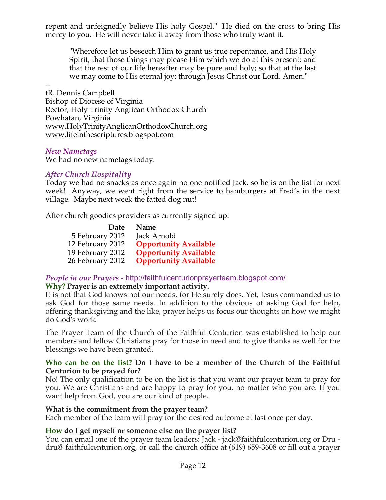repent and unfeignedly believe His holy Gospel." He died on the cross to bring His mercy to you. He will never take it away from those who truly want it.

"Wherefore let us beseech Him to grant us true repentance, and His Holy Spirit, that those things may please Him which we do at this present; and that the rest of our life hereafter may be pure and holy; so that at the last we may come to His eternal joy; through Jesus Christ our Lord. Amen."

- tR. Dennis Campbell Bishop of Diocese of Virginia Rector, Holy Trinity Anglican Orthodox Church Powhatan, Virginia www.HolyTrinityAnglicanOrthodoxChurch.org www.lifeinthescriptures.blogspot.com

#### *New Nametags*

We had no new nametags today.

#### *After Church Hospitality*

Today we had no snacks as once again no one notified Jack, so he is on the list for next week! Anyway, we went right from the service to hamburgers at Fred's in the next village. Maybe next week the fatted dog nut!

After church goodies providers as currently signed up:

| Date             | <b>Name</b>                  |
|------------------|------------------------------|
| 5 February 2012  | Jack Arnold                  |
| 12 February 2012 | <b>Opportunity Available</b> |
| 19 February 2012 | <b>Opportunity Available</b> |
| 26 February 2012 | <b>Opportunity Available</b> |

#### *People in our Prayers* - http://faithfulcenturionprayerteam.blogspot.com/

#### **Why? Prayer is an extremely important activity.**

It is not that God knows not our needs, for He surely does. Yet, Jesus commanded us to ask God for those same needs. In addition to the obvious of asking God for help, offering thanksgiving and the like, prayer helps us focus our thoughts on how we might do God's work.

The Prayer Team of the Church of the Faithful Centurion was established to help our members and fellow Christians pray for those in need and to give thanks as well for the blessings we have been granted.

#### **Who can be on the list? Do I have to be a member of the Church of the Faithful Centurion to be prayed for?**

No! The only qualification to be on the list is that you want our prayer team to pray for you. We are Christians and are happy to pray for you, no matter who you are. If you want help from God, you are our kind of people.

#### **What is the commitment from the prayer team?**

Each member of the team will pray for the desired outcome at last once per day.

#### **How do I get myself or someone else on the prayer list?**

You can email one of the prayer team leaders: Jack - jack@faithfulcenturion.org or Dru dru@ faithfulcenturion.org, or call the church office at (619) 659-3608 or fill out a prayer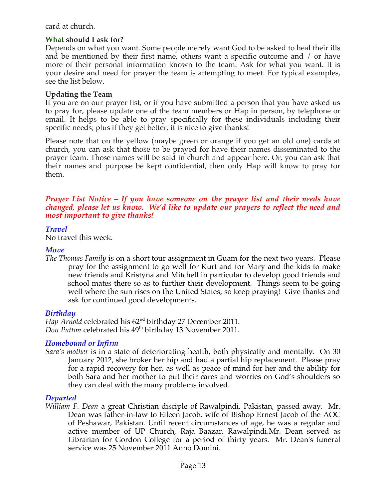card at church.

#### **What should I ask for?**

Depends on what you want. Some people merely want God to be asked to heal their ills and be mentioned by their first name, others want a specific outcome and / or have more of their personal information known to the team. Ask for what you want. It is your desire and need for prayer the team is attempting to meet. For typical examples, see the list below.

#### **Updating the Team**

If you are on our prayer list, or if you have submitted a person that you have asked us to pray for, please update one of the team members or Hap in person, by telephone or email. It helps to be able to pray specifically for these individuals including their specific needs; plus if they get better, it is nice to give thanks!

Please note that on the yellow (maybe green or orange if you get an old one) cards at church, you can ask that those to be prayed for have their names disseminated to the prayer team. Those names will be said in church and appear here. Or, you can ask that their names and purpose be kept confidential, then only Hap will know to pray for them.

#### *Prayer List Notice – If you have someone on the prayer list and their needs have changed, please let us know. We'd like to update our prayers to reflect the need and most important to give thanks!*

#### *Travel*

No travel this week.

#### *Move*

*The Thomas Family* is on a short tour assignment in Guam for the next two years. Please pray for the assignment to go well for Kurt and for Mary and the kids to make new friends and Kristyna and Mitchell in particular to develop good friends and school mates there so as to further their development. Things seem to be going well where the sun rises on the United States, so keep praying! Give thanks and ask for continued good developments.

#### *Birthday*

*Hap Arnold* celebrated his 62nd birthday 27 December 2011. *Don Patton* celebrated his 49<sup>th</sup> birthday 13 November 2011.

# *Homebound or Infirm*

*Sara's mother* is in a state of deteriorating health, both physically and mentally. On 30 January 2012, she broker her hip and had a partial hip replacement. Please pray for a rapid recovery for her, as well as peace of mind for her and the ability for both Sara and her mother to put their cares and worries on God's shoulders so they can deal with the many problems involved.

#### *Departed*

*William F. Dean* a great Christian disciple of Rawalpindi, Pakistan, passed away. Mr. Dean was father-in-law to Eileen Jacob, wife of Bishop Ernest Jacob of the AOC of Peshawar, Pakistan. Until recent circumstances of age, he was a regular and active member of UP Church, Raja Baazar, Rawalpindi.Mr. Dean served as Librarian for Gordon College for a period of thirty years. Mr. Dean's funeral service was 25 November 2011 Anno Domini.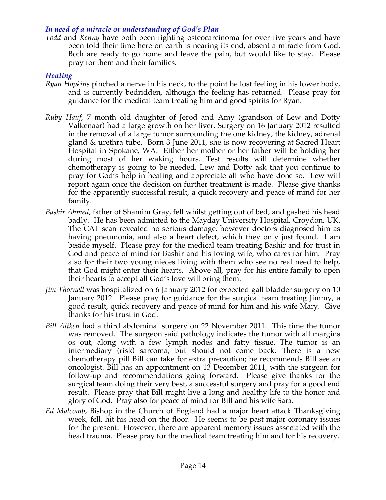#### *In need of a miracle or understanding of God's Plan*

*Todd* and *Kenny* have both been fighting osteocarcinoma for over five years and have been told their time here on earth is nearing its end, absent a miracle from God. Both are ready to go home and leave the pain, but would like to stay. Please pray for them and their families.

#### *Healing*

- *Ryan Hopkins* pinched a nerve in his neck, to the point he lost feeling in his lower body, and is currently bedridden, although the feeling has returned. Please pray for guidance for the medical team treating him and good spirits for Ryan.
- *Ruby Hauf*, 7 month old daughter of Jerod and Amy (grandson of Lew and Dotty Valkenaar) had a large growth on her liver. Surgery on 16 January 2012 resulted in the removal of a large tumor surrounding the one kidney, the kidney, adrenal gland & urethra tube. Born 3 June 2011, she is now recovering at Sacred Heart Hospital in Spokane, WA. Either her mother or her father will be holding her during most of her waking hours. Test results will determine whether chemotherapy is going to be needed. Lew and Dotty ask that you continue to pray for God's help in healing and appreciate all who have done so. Lew will report again once the decision on further treatment is made. Please give thanks for the apparently successful result, a quick recovery and peace of mind for her family.
- *Bashir Ahmed*, father of Shamim Gray, fell whilst getting out of bed, and gashed his head badly. He has been admitted to the Mayday University Hospital, Croydon, UK. The CAT scan revealed no serious damage, however doctors diagnosed him as having pneumonia, and also a heart defect, which they only just found. I am beside myself. Please pray for the medical team treating Bashir and for trust in God and peace of mind for Bashir and his loving wife, who cares for him. Pray also for their two young nieces living with them who see no real need to help, that God might enter their hearts. Above all, pray for his entire family to open their hearts to accept all God's love will bring them.
- *Jim Thornell* was hospitalized on 6 January 2012 for expected gall bladder surgery on 10 January 2012. Please pray for guidance for the surgical team treating Jimmy, a good result, quick recovery and peace of mind for him and his wife Mary. Give thanks for his trust in God.
- *Bill Aitken* had a third abdominal surgery on 22 November 2011. This time the tumor was removed. The surgeon said pathology indicates the tumor with all margins os out, along with a few lymph nodes and fatty tissue. The tumor is an intermediary (risk) sarcoma, but should not come back. There is a new chemotherapy pill Bill can take for extra precaution; he recommends Bill see an oncologist. Bill has an appointment on 13 December 2011, with the surgeon for follow-up and recommendations going forward. Please give thanks for the surgical team doing their very best, a successful surgery and pray for a good end result. Please pray that Bill might live a long and healthy life to the honor and glory of God. Pray also for peace of mind for Bill and his wife Sara.
- *Ed Malcomb*, Bishop in the Church of England had a major heart attack Thanksgiving week, fell, hit his head on the floor. He seems to be past major coronary issues for the present. However, there are apparent memory issues associated with the head trauma. Please pray for the medical team treating him and for his recovery.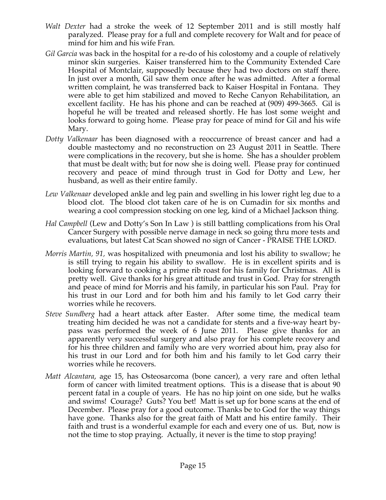- *Walt Dexter* had a stroke the week of 12 September 2011 and is still mostly half paralyzed. Please pray for a full and complete recovery for Walt and for peace of mind for him and his wife Fran.
- *Gil Garcia* was back in the hospital for a re-do of his colostomy and a couple of relatively minor skin surgeries. Kaiser transferred him to the Community Extended Care Hospital of Montclair, supposedly because they had two doctors on staff there. In just over a month, Gil saw them once after he was admitted. After a formal written complaint, he was transferred back to Kaiser Hospital in Fontana. They were able to get him stabilized and moved to Reche Canyon Rehabilitation, an excellent facility. He has his phone and can be reached at (909) 499-3665. Gil is hopeful he will be treated and released shortly. He has lost some weight and looks forward to going home. Please pray for peace of mind for Gil and his wife Mary.
- *Dotty Valkenaar* has been diagnosed with a reoccurrence of breast cancer and had a double mastectomy and no reconstruction on 23 August 2011 in Seattle. There were complications in the recovery, but she is home. She has a shoulder problem that must be dealt with; but for now she is doing well. Please pray for continued recovery and peace of mind through trust in God for Dotty and Lew, her husband, as well as their entire family.
- *Lew Valkenaar* developed ankle and leg pain and swelling in his lower right leg due to a blood clot. The blood clot taken care of he is on Cumadin for six months and wearing a cool compression stocking on one leg, kind of a Michael Jackson thing.
- *Hal Campbell* (Lew and Dotty's Son In Law ) is still battling complications from his Oral Cancer Surgery with possible nerve damage in neck so going thru more tests and evaluations, but latest Cat Scan showed no sign of Cancer - PRAISE THE LORD.
- *Morris Martin, 91,* was hospitalized with pneumonia and lost his ability to swallow; he is still trying to regain his ability to swallow. He is in excellent spirits and is looking forward to cooking a prime rib roast for his family for Christmas. All is pretty well. Give thanks for his great attitude and trust in God. Pray for strength and peace of mind for Morris and his family, in particular his son Paul. Pray for his trust in our Lord and for both him and his family to let God carry their worries while he recovers.
- *Steve Sundberg* had a heart attack after Easter. After some time, the medical team treating him decided he was not a candidate for stents and a five-way heart bypass was performed the week of 6 June 2011. Please give thanks for an apparently very successful surgery and also pray for his complete recovery and for his three children and family who are very worried about him, pray also for his trust in our Lord and for both him and his family to let God carry their worries while he recovers.
- *Matt Alcantara*, age 15, has Osteosarcoma (bone cancer), a very rare and often lethal form of cancer with limited treatment options. This is a disease that is about 90 percent fatal in a couple of years. He has no hip joint on one side, but he walks and swims! Courage? Guts? You bet! Matt is set up for bone scans at the end of December. Please pray for a good outcome. Thanks be to God for the way things have gone. Thanks also for the great faith of Matt and his entire family. Their faith and trust is a wonderful example for each and every one of us. But, now is not the time to stop praying. Actually, it never is the time to stop praying!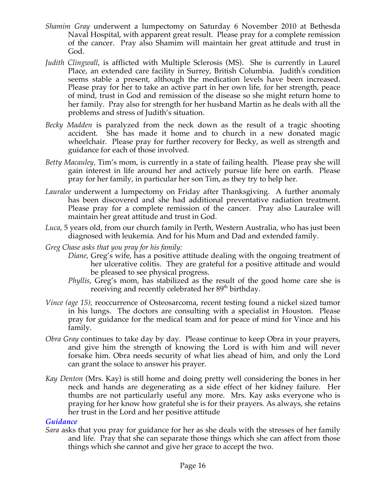- *Shamim Gray* underwent a lumpectomy on Saturday 6 November 2010 at Bethesda Naval Hospital, with apparent great result. Please pray for a complete remission of the cancer. Pray also Shamim will maintain her great attitude and trust in God.
- *Judith Clingwall*, is afflicted with Multiple Sclerosis (MS). She is currently in Laurel Place, an extended care facility in Surrey, British Columbia. Judith's condition seems stable a present, although the medication levels have been increased. Please pray for her to take an active part in her own life, for her strength, peace of mind, trust in God and remission of the disease so she might return home to her family. Pray also for strength for her husband Martin as he deals with all the problems and stress of Judith's situation.
- *Becky Madden* is paralyzed from the neck down as the result of a tragic shooting accident. She has made it home and to church in a new donated magic wheelchair. Please pray for further recovery for Becky, as well as strength and guidance for each of those involved.
- *Betty Macauley,* Tim's mom, is currently in a state of failing health. Please pray she will gain interest in life around her and actively pursue life here on earth. Please pray for her family, in particular her son Tim, as they try to help her.
- *Lauralee* underwent a lumpectomy on Friday after Thanksgiving. A further anomaly has been discovered and she had additional preventative radiation treatment. Please pray for a complete remission of the cancer. Pray also Lauralee will maintain her great attitude and trust in God.
- *Luca*, 5 years old, from our church family in Perth, Western Australia, who has just been diagnosed with leukemia. And for his Mum and Dad and extended family.
- *Greg Chase asks that you pray for his family:*
	- *Diane*, Greg's wife, has a positive attitude dealing with the ongoing treatment of her ulcerative colitis. They are grateful for a positive attitude and would be pleased to see physical progress.
	- *Phyllis*, Greg's mom, has stabilized as the result of the good home care she is receiving and recently celebrated her 89<sup>th</sup> birthday.
- *Vince (age 15),* reoccurrence of Osteosarcoma, recent testing found a nickel sized tumor in his lungs. The doctors are consulting with a specialist in Houston. Please pray for guidance for the medical team and for peace of mind for Vince and his family.
- *Obra Gray* continues to take day by day. Please continue to keep Obra in your prayers, and give him the strength of knowing the Lord is with him and will never forsake him. Obra needs security of what lies ahead of him, and only the Lord can grant the solace to answer his prayer.
- *Kay Denton* (Mrs. Kay) is still home and doing pretty well considering the bones in her neck and hands are degenerating as a side effect of her kidney failure. Her thumbs are not particularly useful any more. Mrs. Kay asks everyone who is praying for her know how grateful she is for their prayers. As always, she retains her trust in the Lord and her positive attitude.

#### *Guidance*

*Sara* asks that you pray for guidance for her as she deals with the stresses of her family and life. Pray that she can separate those things which she can affect from those things which she cannot and give her grace to accept the two.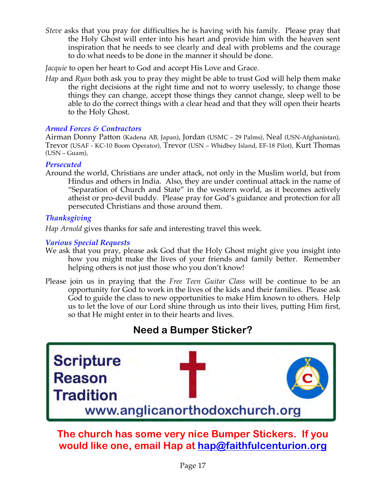*Steve* asks that you pray for difficulties he is having with his family. Please pray that the Holy Ghost will enter into his heart and provide him with the heaven sent inspiration that he needs to see clearly and deal with problems and the courage to do what needs to be done in the manner it should be done.

*Jacquie* to open her heart to God and accept His Love and Grace.

*Hap* and *Ryan* both ask you to pray they might be able to trust God will help them make the right decisions at the right time and not to worry uselessly, to change those things they can change, accept those things they cannot change, sleep well to be able to do the correct things with a clear head and that they will open their hearts to the Holy Ghost.

# *Armed Forces & Contractors*

Airman Donny Patton (Kadena AB, Japan), Jordan (USMC – 29 Palms), Neal (USN-Afghanistan), Trevor (USAF - KC-10 Boom Operator), Trevor (USN – Whidbey Island, EF-18 Pilot), Kurt Thomas (USN – Guam),

# *Persecuted*

Around the world, Christians are under attack, not only in the Muslim world, but from Hindus and others in India. Also, they are under continual attack in the name of "Separation of Church and State" in the western world, as it becomes actively atheist or pro-devil buddy. Please pray for God's guidance and protection for all persecuted Christians and those around them.

# *Thanksgiving*

*Hap Arnold* gives thanks for safe and interesting travel this week.

# *Various Special Requests*

- We ask that you pray, please ask God that the Holy Ghost might give you insight into how you might make the lives of your friends and family better. Remember helping others is not just those who you don't know!
- Please join us in praying that the *Free Teen Guitar Class* will be continue to be an opportunity for God to work in the lives of the kids and their families. Please ask God to guide the class to new opportunities to make Him known to others. Help us to let the love of our Lord shine through us into their lives, putting Him first, so that He might enter in to their hearts and lives.

# **Need a Bumper Sticker?**



**The church has some very nice Bumper Stickers. If you would like one, email Hap at hap@faithfulcenturion.org**